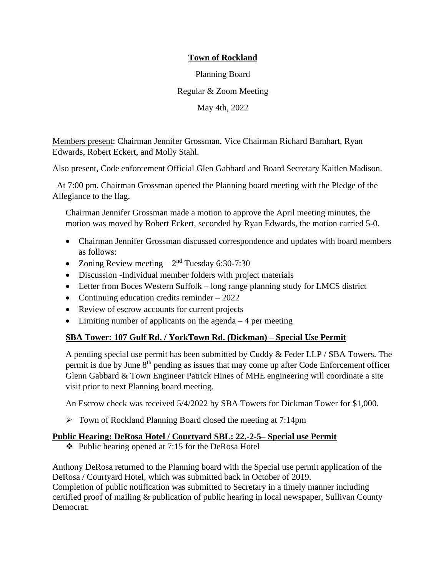Planning Board Regular & Zoom Meeting May 4th, 2022

Members present: Chairman Jennifer Grossman, Vice Chairman Richard Barnhart, Ryan Edwards, Robert Eckert, and Molly Stahl.

Also present, Code enforcement Official Glen Gabbard and Board Secretary Kaitlen Madison.

At 7:00 pm, Chairman Grossman opened the Planning board meeting with the Pledge of the Allegiance to the flag.

Chairman Jennifer Grossman made a motion to approve the April meeting minutes, the motion was moved by Robert Eckert, seconded by Ryan Edwards, the motion carried 5-0.

- Chairman Jennifer Grossman discussed correspondence and updates with board members as follows:
- Zoning Review meeting  $-2<sup>nd</sup>$  Tuesday 6:30-7:30
- Discussion -Individual member folders with project materials
- Letter from Boces Western Suffolk long range planning study for LMCS district
- Continuing education credits reminder 2022
- Review of escrow accounts for current projects
- Limiting number of applicants on the agenda  $-4$  per meeting

# **SBA Tower: 107 Gulf Rd. / YorkTown Rd. (Dickman) – Special Use Permit**

A pending special use permit has been submitted by Cuddy  $&$  Feder LLP / SBA Towers. The permit is due by June  $8<sup>th</sup>$  pending as issues that may come up after Code Enforcement officer Glenn Gabbard & Town Engineer Patrick Hines of MHE engineering will coordinate a site visit prior to next Planning board meeting.

An Escrow check was received 5/4/2022 by SBA Towers for Dickman Tower for \$1,000.

➢ Town of Rockland Planning Board closed the meeting at 7:14pm

### **Public Hearing: DeRosa Hotel / Courtyard SBL: 22.-2-5– Special use Permit**

❖ Public hearing opened at 7:15 for the DeRosa Hotel

Anthony DeRosa returned to the Planning board with the Special use permit application of the DeRosa / Courtyard Hotel, which was submitted back in October of 2019. Completion of public notification was submitted to Secretary in a timely manner including certified proof of mailing & publication of public hearing in local newspaper, Sullivan County Democrat.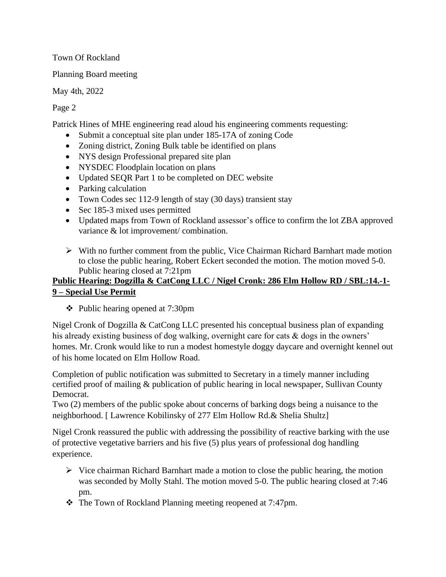Planning Board meeting

May 4th, 2022

Page 2

Patrick Hines of MHE engineering read aloud his engineering comments requesting:

- Submit a conceptual site plan under 185-17A of zoning Code
- Zoning district, Zoning Bulk table be identified on plans
- NYS design Professional prepared site plan
- NYSDEC Floodplain location on plans
- Updated SEQR Part 1 to be completed on DEC website
- Parking calculation
- Town Codes sec 112-9 length of stay (30 days) transient stay
- Sec 185-3 mixed uses permitted
- Updated maps from Town of Rockland assessor's office to confirm the lot ZBA approved variance & lot improvement/ combination.
- ➢ With no further comment from the public, Vice Chairman Richard Barnhart made motion to close the public hearing, Robert Eckert seconded the motion. The motion moved 5-0. Public hearing closed at 7:21pm

# **Public Hearing: Dogzilla & CatCong LLC / Nigel Cronk: 286 Elm Hollow RD / SBL:14.-1- 9 – Special Use Permit**

❖ Public hearing opened at 7:30pm

Nigel Cronk of Dogzilla & CatCong LLC presented his conceptual business plan of expanding his already existing business of dog walking, overnight care for cats & dogs in the owners' homes. Mr. Cronk would like to run a modest homestyle doggy daycare and overnight kennel out of his home located on Elm Hollow Road.

Completion of public notification was submitted to Secretary in a timely manner including certified proof of mailing & publication of public hearing in local newspaper, Sullivan County Democrat.

Two (2) members of the public spoke about concerns of barking dogs being a nuisance to the neighborhood. [ Lawrence Kobilinsky of 277 Elm Hollow Rd.& Shelia Shultz]

Nigel Cronk reassured the public with addressing the possibility of reactive barking with the use of protective vegetative barriers and his five (5) plus years of professional dog handling experience.

- $\triangleright$  Vice chairman Richard Barnhart made a motion to close the public hearing, the motion was seconded by Molly Stahl. The motion moved 5-0. The public hearing closed at 7:46 pm.
- ❖ The Town of Rockland Planning meeting reopened at 7:47pm.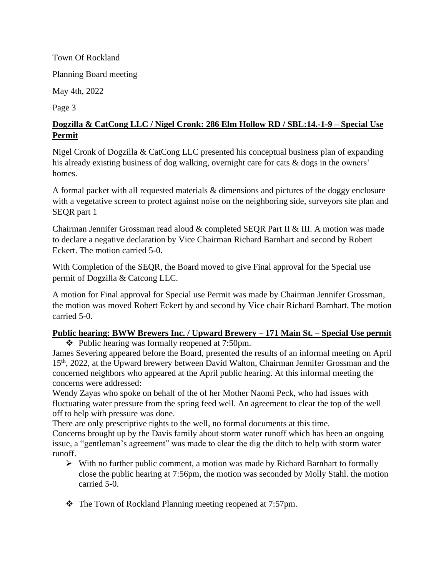Planning Board meeting

May 4th, 2022

Page 3

# **Dogzilla & CatCong LLC / Nigel Cronk: 286 Elm Hollow RD / SBL:14.-1-9 – Special Use Permit**

Nigel Cronk of Dogzilla & CatCong LLC presented his conceptual business plan of expanding his already existing business of dog walking, overnight care for cats & dogs in the owners' homes.

A formal packet with all requested materials & dimensions and pictures of the doggy enclosure with a vegetative screen to protect against noise on the neighboring side, surveyors site plan and SEQR part 1

Chairman Jennifer Grossman read aloud & completed SEQR Part II & III. A motion was made to declare a negative declaration by Vice Chairman Richard Barnhart and second by Robert Eckert. The motion carried 5-0.

With Completion of the SEQR, the Board moved to give Final approval for the Special use permit of Dogzilla & Catcong LLC.

A motion for Final approval for Special use Permit was made by Chairman Jennifer Grossman, the motion was moved Robert Eckert by and second by Vice chair Richard Barnhart. The motion carried 5-0.

# **Public hearing: BWW Brewers Inc. / Upward Brewery – 171 Main St. – Special Use permit**

❖ Public hearing was formally reopened at 7:50pm.

James Severing appeared before the Board, presented the results of an informal meeting on April 15<sup>th</sup>, 2022, at the Upward brewery between David Walton, Chairman Jennifer Grossman and the concerned neighbors who appeared at the April public hearing. At this informal meeting the concerns were addressed:

Wendy Zayas who spoke on behalf of the of her Mother Naomi Peck, who had issues with fluctuating water pressure from the spring feed well. An agreement to clear the top of the well off to help with pressure was done.

There are only prescriptive rights to the well, no formal documents at this time.

Concerns brought up by the Davis family about storm water runoff which has been an ongoing issue, a "gentleman's agreement" was made to clear the dig the ditch to help with storm water runoff.

- ➢ With no further public comment, a motion was made by Richard Barnhart to formally close the public hearing at 7:56pm, the motion was seconded by Molly Stahl. the motion carried 5-0.
- ❖ The Town of Rockland Planning meeting reopened at 7:57pm.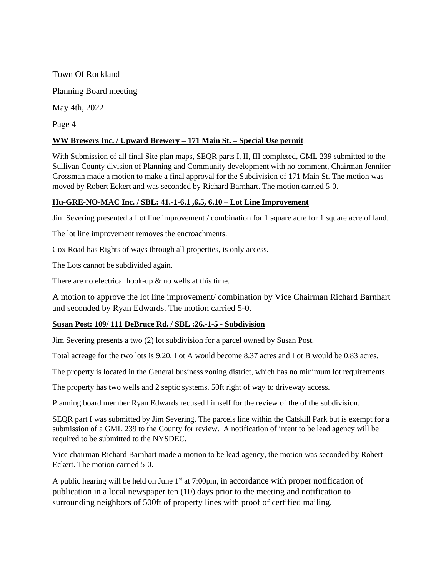Town Of Rockland Planning Board meeting May 4th, 2022 Page 4 **WW Brewers Inc. / Upward Brewery – 171 Main St. – Special Use permit**

With Submission of all final Site plan maps, SEQR parts I, II, III completed, GML 239 submitted to the Sullivan County division of Planning and Community development with no comment, Chairman Jennifer Grossman made a motion to make a final approval for the Subdivision of 171 Main St. The motion was moved by Robert Eckert and was seconded by Richard Barnhart. The motion carried 5-0.

### **Hu-GRE-NO-MAC Inc. / SBL: 41.-1-6.1 ,6.5, 6.10 – Lot Line Improvement**

Jim Severing presented a Lot line improvement / combination for 1 square acre for 1 square acre of land.

The lot line improvement removes the encroachments.

Cox Road has Rights of ways through all properties, is only access.

The Lots cannot be subdivided again.

There are no electrical hook-up  $\&$  no wells at this time.

A motion to approve the lot line improvement/ combination by Vice Chairman Richard Barnhart and seconded by Ryan Edwards. The motion carried 5-0.

#### **Susan Post: 109/ 111 DeBruce Rd. / SBL :26.-1-5 - Subdivision**

Jim Severing presents a two (2) lot subdivision for a parcel owned by Susan Post.

Total acreage for the two lots is 9.20, Lot A would become 8.37 acres and Lot B would be 0.83 acres.

The property is located in the General business zoning district, which has no minimum lot requirements.

The property has two wells and 2 septic systems. 50ft right of way to driveway access.

Planning board member Ryan Edwards recused himself for the review of the of the subdivision.

SEQR part I was submitted by Jim Severing. The parcels line within the Catskill Park but is exempt for a submission of a GML 239 to the County for review. A notification of intent to be lead agency will be required to be submitted to the NYSDEC.

Vice chairman Richard Barnhart made a motion to be lead agency, the motion was seconded by Robert Eckert. The motion carried 5-0.

A public hearing will be held on June  $1<sup>st</sup>$  at 7:00pm, in accordance with proper notification of publication in a local newspaper ten (10) days prior to the meeting and notification to surrounding neighbors of 500ft of property lines with proof of certified mailing.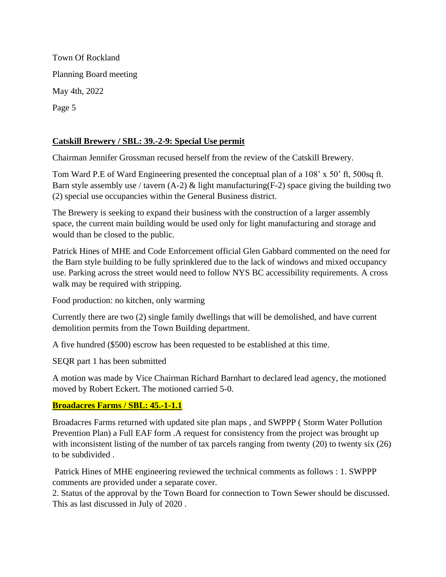Town Of Rockland Planning Board meeting May 4th, 2022 Page 5

### **Catskill Brewery / SBL: 39.-2-9: Special Use permit**

Chairman Jennifer Grossman recused herself from the review of the Catskill Brewery.

Tom Ward P.E of Ward Engineering presented the conceptual plan of a 108' x 50' ft, 500sq ft. Barn style assembly use / tavern  $(A-2)$  & light manufacturing  $(F-2)$  space giving the building two (2) special use occupancies within the General Business district.

The Brewery is seeking to expand their business with the construction of a larger assembly space, the current main building would be used only for light manufacturing and storage and would than be closed to the public.

Patrick Hines of MHE and Code Enforcement official Glen Gabbard commented on the need for the Barn style building to be fully sprinklered due to the lack of windows and mixed occupancy use. Parking across the street would need to follow NYS BC accessibility requirements. A cross walk may be required with stripping.

Food production: no kitchen, only warming

Currently there are two (2) single family dwellings that will be demolished, and have current demolition permits from the Town Building department.

A five hundred (\$500) escrow has been requested to be established at this time.

SEQR part 1 has been submitted

A motion was made by Vice Chairman Richard Barnhart to declared lead agency, the motioned moved by Robert Eckert. The motioned carried 5-0.

### **Broadacres Farms / SBL: 45.-1-1.1**

Broadacres Farms returned with updated site plan maps , and SWPPP ( Storm Water Pollution Prevention Plan) a Full EAF form .A request for consistency from the project was brought up with inconsistent listing of the number of tax parcels ranging from twenty (20) to twenty six (26) to be subdivided .

Patrick Hines of MHE engineering reviewed the technical comments as follows : 1. SWPPP comments are provided under a separate cover.

2. Status of the approval by the Town Board for connection to Town Sewer should be discussed. This as last discussed in July of 2020 .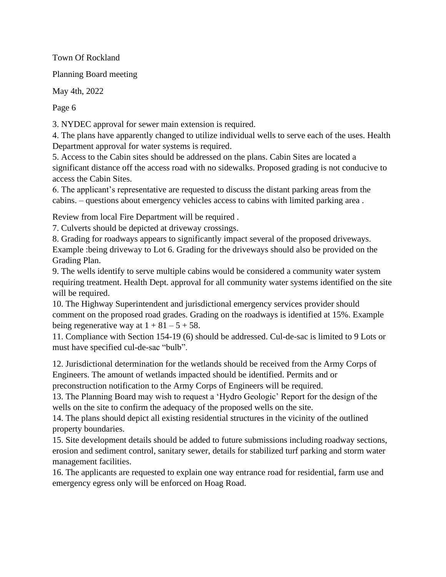Planning Board meeting

May 4th, 2022

Page 6

3. NYDEC approval for sewer main extension is required.

4. The plans have apparently changed to utilize individual wells to serve each of the uses. Health Department approval for water systems is required.

5. Access to the Cabin sites should be addressed on the plans. Cabin Sites are located a significant distance off the access road with no sidewalks. Proposed grading is not conducive to access the Cabin Sites.

6. The applicant's representative are requested to discuss the distant parking areas from the cabins. – questions about emergency vehicles access to cabins with limited parking area .

Review from local Fire Department will be required .

7. Culverts should be depicted at driveway crossings.

8. Grading for roadways appears to significantly impact several of the proposed driveways. Example :being driveway to Lot 6. Grading for the driveways should also be provided on the Grading Plan.

9. The wells identify to serve multiple cabins would be considered a community water system requiring treatment. Health Dept. approval for all community water systems identified on the site will be required.

10. The Highway Superintendent and jurisdictional emergency services provider should comment on the proposed road grades. Grading on the roadways is identified at 15%. Example being regenerative way at  $1 + 81 - 5 + 58$ .

11. Compliance with Section 154-19 (6) should be addressed. Cul-de-sac is limited to 9 Lots or must have specified cul-de-sac "bulb".

12. Jurisdictional determination for the wetlands should be received from the Army Corps of Engineers. The amount of wetlands impacted should be identified. Permits and or preconstruction notification to the Army Corps of Engineers will be required.

13. The Planning Board may wish to request a 'Hydro Geologic' Report for the design of the wells on the site to confirm the adequacy of the proposed wells on the site.

14. The plans should depict all existing residential structures in the vicinity of the outlined property boundaries.

15. Site development details should be added to future submissions including roadway sections, erosion and sediment control, sanitary sewer, details for stabilized turf parking and storm water management facilities.

16. The applicants are requested to explain one way entrance road for residential, farm use and emergency egress only will be enforced on Hoag Road.